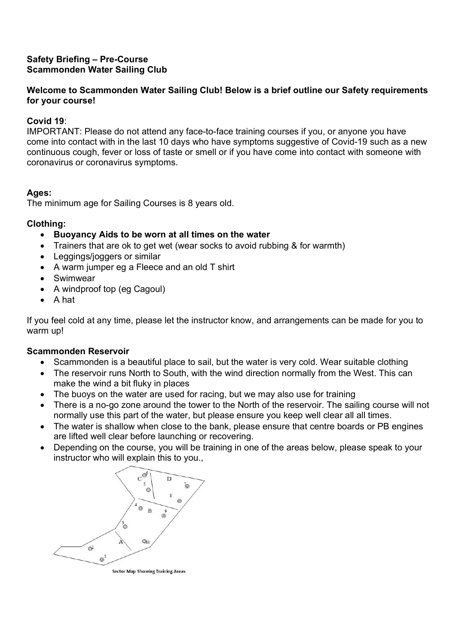### Safety Briefing – Pre-Course Scammonden Water Sailing Club

### Welcome to Scammonden Water Sailing Club! Below is a brief outline our Safety requirements for your course!

## Covid 19:

IMPORTANT: Please do not attend any face-to-face training courses if you, or anyone you have come into contact with in the last 10 days who have symptoms suggestive of Covid-19 such as a new continuous cough, fever or loss of taste or smell or if you have come into contact with someone with coronavirus or coronavirus symptoms.

### Ages:

The minimum age for Sailing Courses is 8 years old.

### Clothing:

- Buoyancy Aids to be worn at all times on the water
- Trainers that are ok to get wet (wear socks to avoid rubbing & for warmth)
- Leggings/joggers or similar
- A warm jumper eg a Fleece and an old T shirt
- Swimwear
- A windproof top (eg Cagoul)
- $\bullet$  A hat

If you feel cold at any time, please let the instructor know, and arrangements can be made for you to warm up!

### Scammonden Reservoir

- Scammonden is a beautiful place to sail, but the water is very cold. Wear suitable clothing
- The reservoir runs North to South, with the wind direction normally from the West. This can make the wind a bit fluky in places
- The buoys on the water are used for racing, but we may also use for training
- There is a no-go zone around the tower to the North of the reservoir. The sailing course will not normally use this part of the water, but please ensure you keep well clear all all times.
- The water is shallow when close to the bank, please ensure that centre boards or PB engines are lifted well clear before launching or recovering.
- Depending on the course, you will be training in one of the areas below, please speak to your instructor who will explain this to you.,



**Sector Map Showing Training Areas**